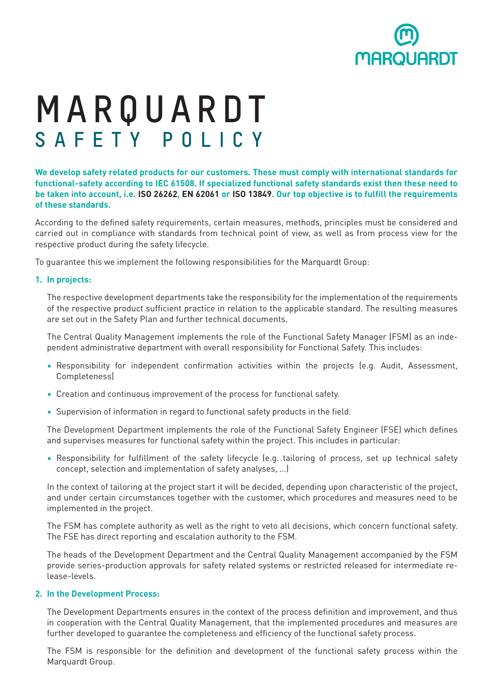

# **MARQUARDT SAFETY POLICY**

**We develop safety related products for our customers. These must comply with international standards for functional-safety according to IEC 61508. If specialized functional safety standards exist then these need to be taken into account, i.e. ISO 26262, EN 62061 or ISO 13849. Our top objective is to fulfill the requirements of these standards.**

According to the defined safety requirements, certain measures, methods, principles must be considered and carried out in compliance with standards from technical point of view, as well as from process view for the respective product during the safety lifecycle.

To guarantee this we implement the following responsibilities for the Marquardt Group:

## **1. In projects:**

The respective development departments take the responsibility for the implementation of the requirements of the respective product sufficient practice in relation to the applicable standard. The resulting measures are set out in the Safety Plan and further technical documents.

The Central Quality Management implements the role of the Functional Safety Manager (FSM) as an independent administrative department with overall responsibility for Functional Safety. This includes:

- Responsibility for independent confirmation activities within the projects (e.g. Audit, Assessment, Completeness)
- Creation and continuous improvement of the process for functional safety.
- Supervision of information in regard to functional safety products in the field.

The Development Department implements the role of the Functional Safety Engineer (FSE) which defines and supervises measures for functional safety within the project. This includes in particular:

• Responsibility for fulfillment of the safety lifecycle (e.g. tailoring of process, set up technical safety concept, selection and implementation of safety analyses, …)

In the context of tailoring at the project start it will be decided, depending upon characteristic of the project, and under certain circumstances together with the customer, which procedures and measures need to be implemented in the project.

The FSM has complete authority as well as the right to veto all decisions, which concern functional safety. The FSE has direct reporting and escalation authority to the FSM.

The heads of the Development Department and the Central Quality Management accompanied by the FSM provide series-production approvals for safety related systems or restricted released for intermediate release-levels.

# **2. In the Development Process:**

The Development Departments ensures in the context of the process definition and improvement, and thus in cooperation with the Central Quality Management, that the implemented procedures and measures are further developed to guarantee the completeness and efficiency of the functional safety process.

The FSM is responsible for the definition and development of the functional safety process within the Marquardt Group.